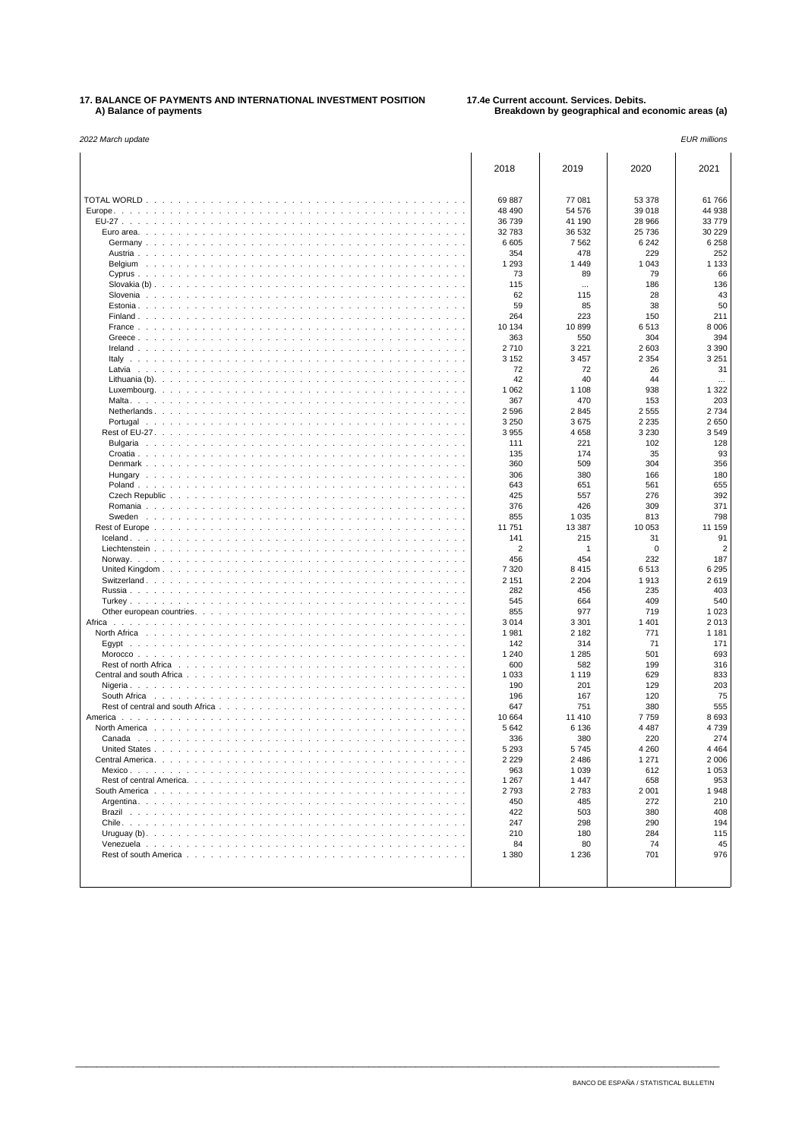## **17. BALANCE OF PAYMENTS AND INTERNATIONAL INVESTMENT POSITION 17.4e Current account. Services. Debits. A) Balance of payments Breakdown by geographical and economic areas (a)**

| 2022 March update                                                                                                                                                                                                                                                                                                                                  |                |                |             | <b>EUR</b> millions |
|----------------------------------------------------------------------------------------------------------------------------------------------------------------------------------------------------------------------------------------------------------------------------------------------------------------------------------------------------|----------------|----------------|-------------|---------------------|
|                                                                                                                                                                                                                                                                                                                                                    | 2018           | 2019           | 2020        | 2021                |
|                                                                                                                                                                                                                                                                                                                                                    | 69887          | 77 081         | 53 378      | 61766               |
|                                                                                                                                                                                                                                                                                                                                                    | 48 490         | 54 576         | 39 018      | 44 938              |
|                                                                                                                                                                                                                                                                                                                                                    | 36 739         | 41 190         | 28 966      | 33779               |
|                                                                                                                                                                                                                                                                                                                                                    | 32783          | 36 532         | 25 736      | 30 229              |
|                                                                                                                                                                                                                                                                                                                                                    | 6 6 0 5        | 7 5 6 2        | 6 2 4 2     | 6 2 5 8             |
|                                                                                                                                                                                                                                                                                                                                                    | 354            | 478            | 229         | 252                 |
|                                                                                                                                                                                                                                                                                                                                                    | 1 2 9 3        | 1449           | 1 0 4 3     | 1 1 3 3             |
|                                                                                                                                                                                                                                                                                                                                                    | 73             | 89             | 79          | 66                  |
|                                                                                                                                                                                                                                                                                                                                                    | 115            | $\cdots$       | 186         | 136                 |
|                                                                                                                                                                                                                                                                                                                                                    | 62             | 115            | 28          | 43                  |
| <b>Contract</b>                                                                                                                                                                                                                                                                                                                                    | 59             | 85             | 38          | 50                  |
|                                                                                                                                                                                                                                                                                                                                                    | 264            | 223            | 150         | 211                 |
|                                                                                                                                                                                                                                                                                                                                                    | 10 134         | 10899          | 6513        | 8 0 0 6             |
| Greece. $\ldots$                                                                                                                                                                                                                                                                                                                                   | 363            | 550            | 304         | 394                 |
|                                                                                                                                                                                                                                                                                                                                                    | 2710           | 3 2 2 1        | 2 603       | 3 3 9 0             |
|                                                                                                                                                                                                                                                                                                                                                    | 3 1 5 2        | 3 4 5 7        | 2 3 5 4     | 3 2 5 1             |
|                                                                                                                                                                                                                                                                                                                                                    | 72             | 72             | 26          | 31                  |
|                                                                                                                                                                                                                                                                                                                                                    | 42             | 40             | 44          | $\cdots$            |
| and a series of                                                                                                                                                                                                                                                                                                                                    | 1 0 6 2<br>367 | 1 1 0 8<br>470 | 938<br>153  | 1 3 2 2<br>203      |
|                                                                                                                                                                                                                                                                                                                                                    | 2596           | 2845           | 2555        | 2734                |
| $\sim$                                                                                                                                                                                                                                                                                                                                             | 3 2 5 0        | 3675           | 2 2 3 5     | 2650                |
|                                                                                                                                                                                                                                                                                                                                                    | 3955           | 4 6 5 8        | 3 2 3 0     | 3549                |
| $\sim$ $\sim$ $\sim$ $\sim$ $\sim$                                                                                                                                                                                                                                                                                                                 | 111            | 221            | 102         | 128                 |
|                                                                                                                                                                                                                                                                                                                                                    | 135            | 174            | 35          | 93                  |
|                                                                                                                                                                                                                                                                                                                                                    | 360            | 509            | 304         | 356                 |
|                                                                                                                                                                                                                                                                                                                                                    | 306            | 380            | 166         | 180                 |
|                                                                                                                                                                                                                                                                                                                                                    | 643            | 651            | 561         | 655                 |
|                                                                                                                                                                                                                                                                                                                                                    | 425            | 557            | 276         | 392                 |
|                                                                                                                                                                                                                                                                                                                                                    | 376            | 426            | 309         | 371                 |
|                                                                                                                                                                                                                                                                                                                                                    | 855            | 1 0 3 5        | 813         | 798                 |
| and a straight and a                                                                                                                                                                                                                                                                                                                               | 11 751         | 13 387         | 10 053      | 11 159              |
|                                                                                                                                                                                                                                                                                                                                                    | 141            | 215            | 31          | 91                  |
|                                                                                                                                                                                                                                                                                                                                                    | $\overline{2}$ | 1              | 0           | $\overline{2}$      |
|                                                                                                                                                                                                                                                                                                                                                    | 456<br>7 3 2 0 | 454<br>8415    | 232<br>6513 | 187<br>6 2 9 5      |
|                                                                                                                                                                                                                                                                                                                                                    | 2 1 5 1        | 2 2 0 4        | 1913        | 2619                |
| and a state                                                                                                                                                                                                                                                                                                                                        | 282            | 456            | 235         | 403                 |
|                                                                                                                                                                                                                                                                                                                                                    | 545            | 664            | 409         | 540                 |
|                                                                                                                                                                                                                                                                                                                                                    | 855            | 977            | 719         | 1 0 2 3             |
| Africa $\ldots$ , $\ldots$ , $\ldots$ , $\ldots$<br>.                                                                                                                                                                                                                                                                                              | 3014           | 3 3 0 1        | 1 4 0 1     | 2013                |
| North Africa<br>.                                                                                                                                                                                                                                                                                                                                  | 1981           | 2 1 8 2        | 771         | 1 1 8 1             |
|                                                                                                                                                                                                                                                                                                                                                    | 142            | 314            | 71          | 171                 |
|                                                                                                                                                                                                                                                                                                                                                    | 1 2 4 0        | 1 2 8 5        | 501         | 693                 |
|                                                                                                                                                                                                                                                                                                                                                    | 600            | 582            | 199         | 316                 |
|                                                                                                                                                                                                                                                                                                                                                    | 1 0 3 3        | 1 1 1 9        | 629         | 833                 |
|                                                                                                                                                                                                                                                                                                                                                    | 190            | 201            | 129         | 203                 |
| South Africa <b>Bank Africa</b> Bank Holder Bank Holder Bank Holder Bank Holder Bank Holder Bank Holder Bank Holder Bank Holder Bank Holder Bank Holder Bank Holder Bank Holder Bank Holder Bank Holder Bank Holder Bank Holder Ban<br>Rest of central and south Africa $\ldots$ , $\ldots$ , $\ldots$ , $\ldots$ , $\ldots$ , $\ldots$ , $\ldots$ | 196<br>647     | 167<br>751     | 120<br>380  | 75<br>555           |
|                                                                                                                                                                                                                                                                                                                                                    | 10 664         | 11 410         | 7759        | 8693                |
|                                                                                                                                                                                                                                                                                                                                                    | 5642           | 6 1 3 6        | 4 4 8 7     | 4739                |
| Canada                                                                                                                                                                                                                                                                                                                                             | 336            | 380            | 220         | 274                 |
|                                                                                                                                                                                                                                                                                                                                                    | 5 2 9 3        | 5745           | 4 2 6 0     | 4464                |
|                                                                                                                                                                                                                                                                                                                                                    | 2 2 2 9        | 2 4 8 6        | 1 2 7 1     | 2 0 0 6             |
|                                                                                                                                                                                                                                                                                                                                                    | 963            | 1 0 3 9        | 612         | 1 0 5 3             |
|                                                                                                                                                                                                                                                                                                                                                    | 1 2 6 7        | 1447           | 658         | 953                 |
|                                                                                                                                                                                                                                                                                                                                                    | 2793           | 2783           | 2 0 0 1     | 1948                |
|                                                                                                                                                                                                                                                                                                                                                    | 450            | 485            | 272         | 210                 |
|                                                                                                                                                                                                                                                                                                                                                    | 422            | 503            | 380         | 408                 |
|                                                                                                                                                                                                                                                                                                                                                    | 247            | 298            | 290         | 194                 |
|                                                                                                                                                                                                                                                                                                                                                    | 210<br>84      | 180<br>80      | 284<br>74   | 115<br>45           |
|                                                                                                                                                                                                                                                                                                                                                    | 1 3 8 0        | 1 2 3 6        | 701         | 976                 |
|                                                                                                                                                                                                                                                                                                                                                    |                |                |             |                     |
|                                                                                                                                                                                                                                                                                                                                                    |                |                |             |                     |
|                                                                                                                                                                                                                                                                                                                                                    |                |                |             |                     |

\_\_\_\_\_\_\_\_\_\_\_\_\_\_\_\_\_\_\_\_\_\_\_\_\_\_\_\_\_\_\_\_\_\_\_\_\_\_\_\_\_\_\_\_\_\_\_\_\_\_\_\_\_\_\_\_\_\_\_\_\_\_\_\_\_\_\_\_\_\_\_\_\_\_\_\_\_\_\_\_\_\_\_\_\_\_\_\_\_\_\_\_\_\_\_\_\_\_\_\_\_\_\_\_\_\_\_\_\_\_\_\_\_\_\_\_\_\_\_\_\_\_\_

 $\overline{a}$